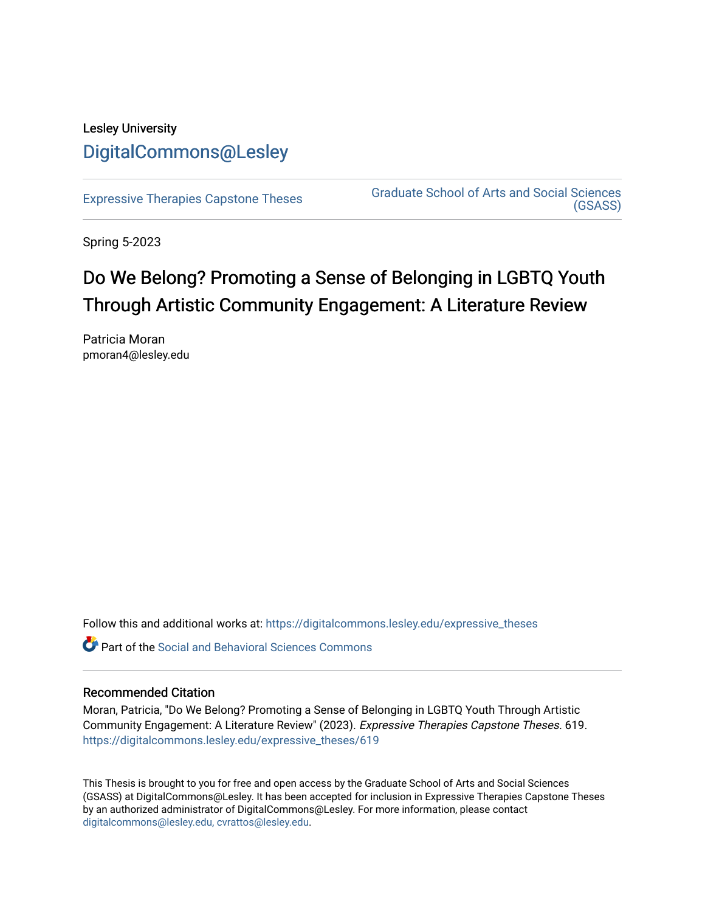## Lesley University [DigitalCommons@Lesley](https://digitalcommons.lesley.edu/)

[Expressive Therapies Capstone Theses](https://digitalcommons.lesley.edu/expressive_theses) Graduate School of Arts and Social Sciences [\(GSASS\)](https://digitalcommons.lesley.edu/gsass) 

Spring 5-2023

# Do We Belong? Promoting a Sense of Belonging in LGBTQ Youth Through Artistic Community Engagement: A Literature Review

Patricia Moran pmoran4@lesley.edu

Follow this and additional works at: [https://digitalcommons.lesley.edu/expressive\\_theses](https://digitalcommons.lesley.edu/expressive_theses?utm_source=digitalcommons.lesley.edu%2Fexpressive_theses%2F619&utm_medium=PDF&utm_campaign=PDFCoverPages)

Part of the [Social and Behavioral Sciences Commons](http://network.bepress.com/hgg/discipline/316?utm_source=digitalcommons.lesley.edu%2Fexpressive_theses%2F619&utm_medium=PDF&utm_campaign=PDFCoverPages) 

#### Recommended Citation

Moran, Patricia, "Do We Belong? Promoting a Sense of Belonging in LGBTQ Youth Through Artistic Community Engagement: A Literature Review" (2023). Expressive Therapies Capstone Theses. 619. [https://digitalcommons.lesley.edu/expressive\\_theses/619](https://digitalcommons.lesley.edu/expressive_theses/619?utm_source=digitalcommons.lesley.edu%2Fexpressive_theses%2F619&utm_medium=PDF&utm_campaign=PDFCoverPages)

This Thesis is brought to you for free and open access by the Graduate School of Arts and Social Sciences (GSASS) at DigitalCommons@Lesley. It has been accepted for inclusion in Expressive Therapies Capstone Theses by an authorized administrator of DigitalCommons@Lesley. For more information, please contact [digitalcommons@lesley.edu, cvrattos@lesley.edu](mailto:digitalcommons@lesley.edu,%20cvrattos@lesley.edu).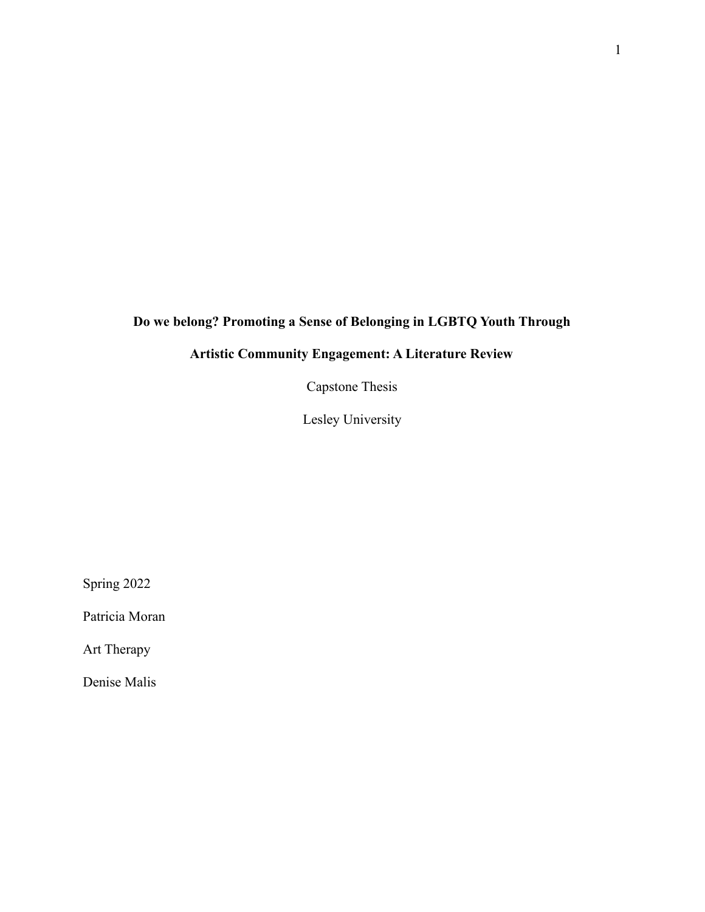## **Do we belong? Promoting a Sense of Belonging in LGBTQ Youth Through**

## **Artistic Community Engagement: A Literature Review**

Capstone Thesis

Lesley University

Spring 2022

Patricia Moran

Art Therapy

Denise Malis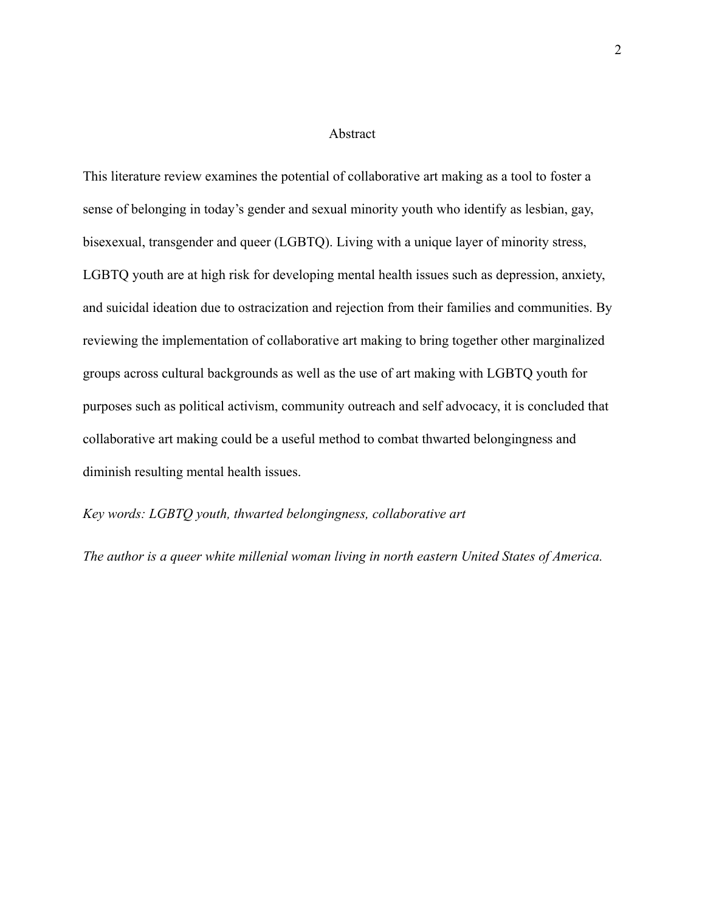#### Abstract

This literature review examines the potential of collaborative art making as a tool to foster a sense of belonging in today's gender and sexual minority youth who identify as lesbian, gay, bisexexual, transgender and queer (LGBTQ). Living with a unique layer of minority stress, LGBTQ youth are at high risk for developing mental health issues such as depression, anxiety, and suicidal ideation due to ostracization and rejection from their families and communities. By reviewing the implementation of collaborative art making to bring together other marginalized groups across cultural backgrounds as well as the use of art making with LGBTQ youth for purposes such as political activism, community outreach and self advocacy, it is concluded that collaborative art making could be a useful method to combat thwarted belongingness and diminish resulting mental health issues.

#### *Key words: LGBTQ youth, thwarted belongingness, collaborative art*

*The author is a queer white millenial woman living in north eastern United States of America.*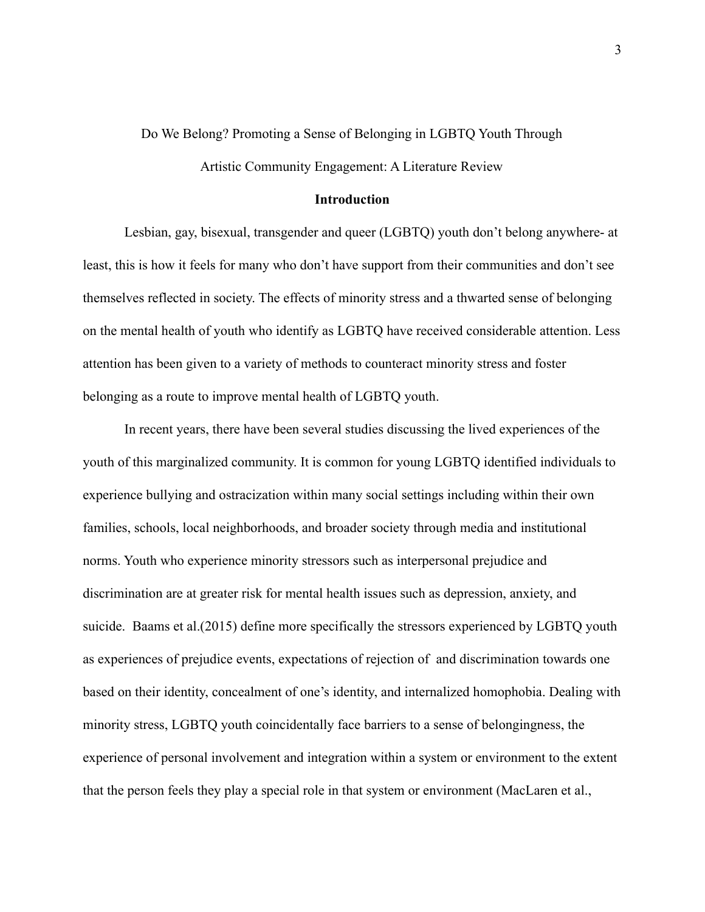#### Do We Belong? Promoting a Sense of Belonging in LGBTQ Youth Through

Artistic Community Engagement: A Literature Review

#### **Introduction**

Lesbian, gay, bisexual, transgender and queer (LGBTQ) youth don't belong anywhere- at least, this is how it feels for many who don't have support from their communities and don't see themselves reflected in society. The effects of minority stress and a thwarted sense of belonging on the mental health of youth who identify as LGBTQ have received considerable attention. Less attention has been given to a variety of methods to counteract minority stress and foster belonging as a route to improve mental health of LGBTQ youth.

In recent years, there have been several studies discussing the lived experiences of the youth of this marginalized community. It is common for young LGBTQ identified individuals to experience bullying and ostracization within many social settings including within their own families, schools, local neighborhoods, and broader society through media and institutional norms. Youth who experience minority stressors such as interpersonal prejudice and discrimination are at greater risk for mental health issues such as depression, anxiety, and suicide. Baams et al.(2015) define more specifically the stressors experienced by LGBTQ youth as experiences of prejudice events, expectations of rejection of and discrimination towards one based on their identity, concealment of one's identity, and internalized homophobia. Dealing with minority stress, LGBTQ youth coincidentally face barriers to a sense of belongingness, the experience of personal involvement and integration within a system or environment to the extent that the person feels they play a special role in that system or environment (MacLaren et al.,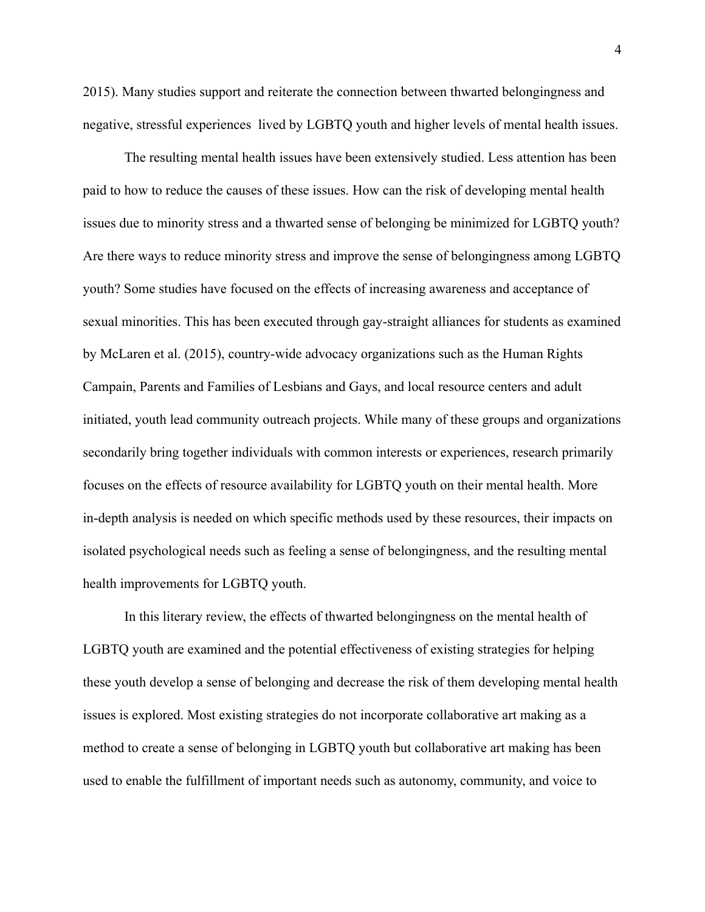2015). Many studies support and reiterate the connection between thwarted belongingness and negative, stressful experiences lived by LGBTQ youth and higher levels of mental health issues.

The resulting mental health issues have been extensively studied. Less attention has been paid to how to reduce the causes of these issues. How can the risk of developing mental health issues due to minority stress and a thwarted sense of belonging be minimized for LGBTQ youth? Are there ways to reduce minority stress and improve the sense of belongingness among LGBTQ youth? Some studies have focused on the effects of increasing awareness and acceptance of sexual minorities. This has been executed through gay-straight alliances for students as examined by McLaren et al. (2015), country-wide advocacy organizations such as the Human Rights Campain, Parents and Families of Lesbians and Gays, and local resource centers and adult initiated, youth lead community outreach projects. While many of these groups and organizations secondarily bring together individuals with common interests or experiences, research primarily focuses on the effects of resource availability for LGBTQ youth on their mental health. More in-depth analysis is needed on which specific methods used by these resources, their impacts on isolated psychological needs such as feeling a sense of belongingness, and the resulting mental health improvements for LGBTQ youth.

In this literary review, the effects of thwarted belongingness on the mental health of LGBTQ youth are examined and the potential effectiveness of existing strategies for helping these youth develop a sense of belonging and decrease the risk of them developing mental health issues is explored. Most existing strategies do not incorporate collaborative art making as a method to create a sense of belonging in LGBTQ youth but collaborative art making has been used to enable the fulfillment of important needs such as autonomy, community, and voice to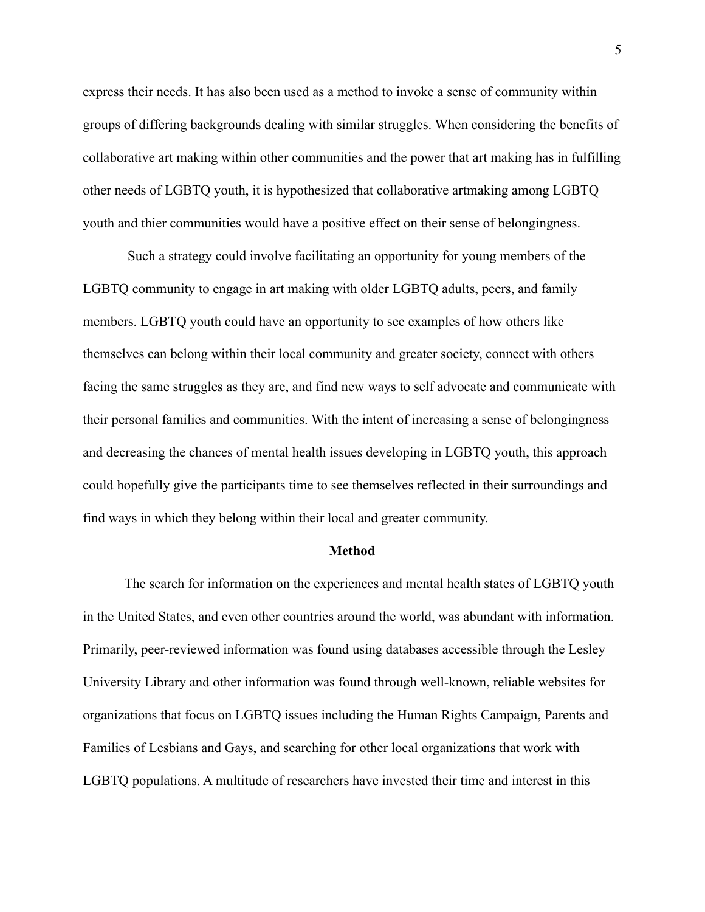express their needs. It has also been used as a method to invoke a sense of community within groups of differing backgrounds dealing with similar struggles. When considering the benefits of collaborative art making within other communities and the power that art making has in fulfilling other needs of LGBTQ youth, it is hypothesized that collaborative artmaking among LGBTQ youth and thier communities would have a positive effect on their sense of belongingness.

Such a strategy could involve facilitating an opportunity for young members of the LGBTQ community to engage in art making with older LGBTQ adults, peers, and family members. LGBTQ youth could have an opportunity to see examples of how others like themselves can belong within their local community and greater society, connect with others facing the same struggles as they are, and find new ways to self advocate and communicate with their personal families and communities. With the intent of increasing a sense of belongingness and decreasing the chances of mental health issues developing in LGBTQ youth, this approach could hopefully give the participants time to see themselves reflected in their surroundings and find ways in which they belong within their local and greater community.

#### **Method**

The search for information on the experiences and mental health states of LGBTQ youth in the United States, and even other countries around the world, was abundant with information. Primarily, peer-reviewed information was found using databases accessible through the Lesley University Library and other information was found through well-known, reliable websites for organizations that focus on LGBTQ issues including the Human Rights Campaign, Parents and Families of Lesbians and Gays, and searching for other local organizations that work with LGBTQ populations. A multitude of researchers have invested their time and interest in this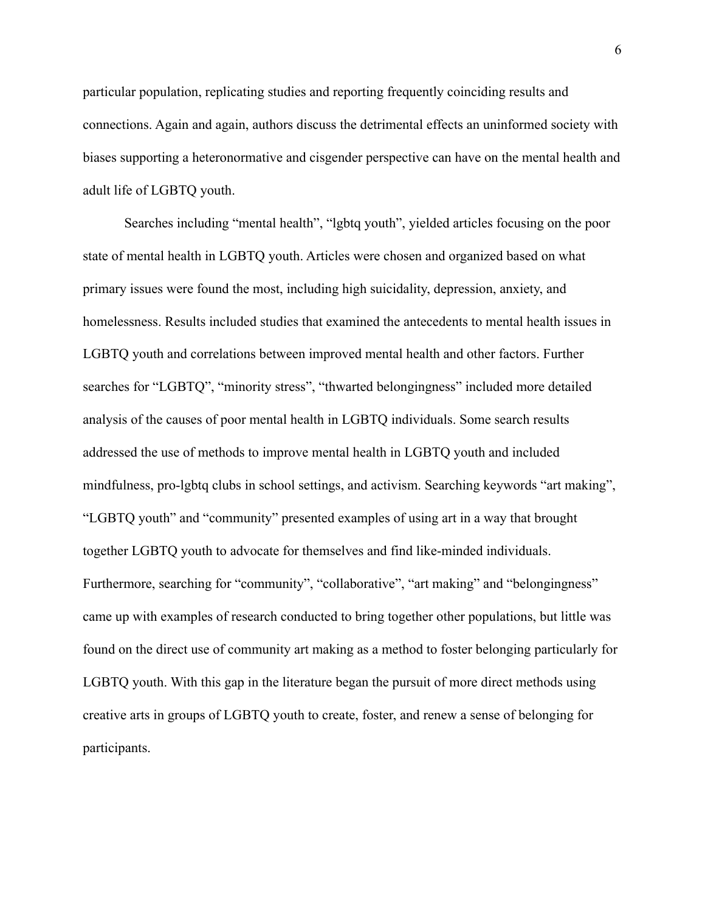particular population, replicating studies and reporting frequently coinciding results and connections. Again and again, authors discuss the detrimental effects an uninformed society with biases supporting a heteronormative and cisgender perspective can have on the mental health and adult life of LGBTQ youth.

Searches including "mental health", "lgbtq youth", yielded articles focusing on the poor state of mental health in LGBTQ youth. Articles were chosen and organized based on what primary issues were found the most, including high suicidality, depression, anxiety, and homelessness. Results included studies that examined the antecedents to mental health issues in LGBTQ youth and correlations between improved mental health and other factors. Further searches for "LGBTQ", "minority stress", "thwarted belongingness" included more detailed analysis of the causes of poor mental health in LGBTQ individuals. Some search results addressed the use of methods to improve mental health in LGBTQ youth and included mindfulness, pro-lgbtq clubs in school settings, and activism. Searching keywords "art making", "LGBTQ youth" and "community" presented examples of using art in a way that brought together LGBTQ youth to advocate for themselves and find like-minded individuals. Furthermore, searching for "community", "collaborative", "art making" and "belongingness" came up with examples of research conducted to bring together other populations, but little was found on the direct use of community art making as a method to foster belonging particularly for LGBTQ youth. With this gap in the literature began the pursuit of more direct methods using creative arts in groups of LGBTQ youth to create, foster, and renew a sense of belonging for participants.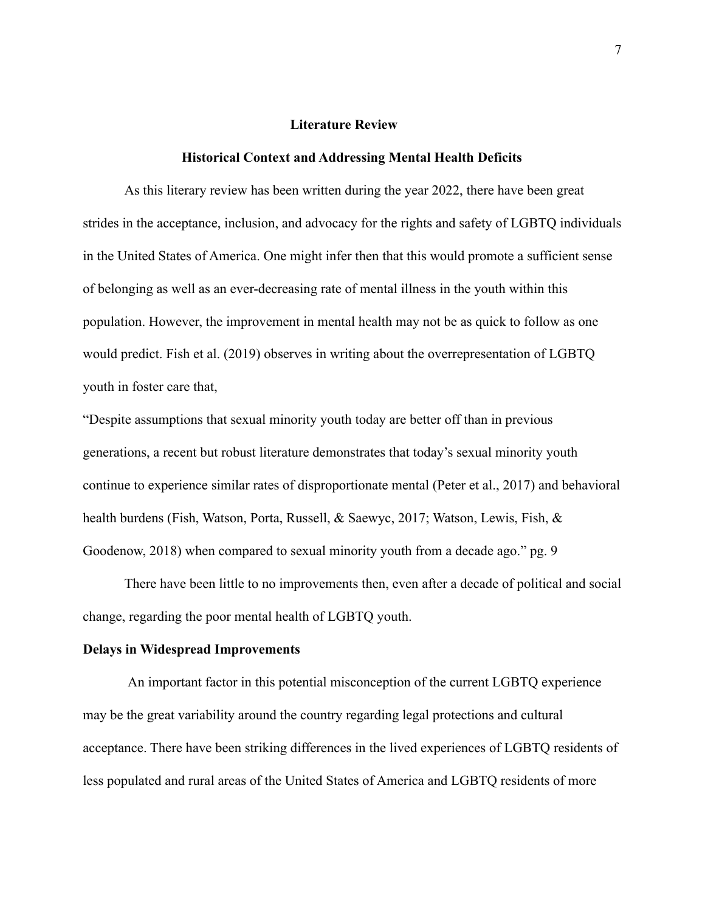#### **Literature Review**

#### **Historical Context and Addressing Mental Health Deficits**

As this literary review has been written during the year 2022, there have been great strides in the acceptance, inclusion, and advocacy for the rights and safety of LGBTQ individuals in the United States of America. One might infer then that this would promote a sufficient sense of belonging as well as an ever-decreasing rate of mental illness in the youth within this population. However, the improvement in mental health may not be as quick to follow as one would predict. Fish et al. (2019) observes in writing about the overrepresentation of LGBTQ youth in foster care that,

"Despite assumptions that sexual minority youth today are better off than in previous generations, a recent but robust literature demonstrates that today's sexual minority youth continue to experience similar rates of disproportionate mental (Peter et al., 2017) and behavioral health burdens (Fish, Watson, Porta, Russell, & Saewyc, 2017; Watson, Lewis, Fish, & Goodenow, 2018) when compared to sexual minority youth from a decade ago." pg. 9

There have been little to no improvements then, even after a decade of political and social change, regarding the poor mental health of LGBTQ youth.

#### **Delays in Widespread Improvements**

An important factor in this potential misconception of the current LGBTQ experience may be the great variability around the country regarding legal protections and cultural acceptance. There have been striking differences in the lived experiences of LGBTQ residents of less populated and rural areas of the United States of America and LGBTQ residents of more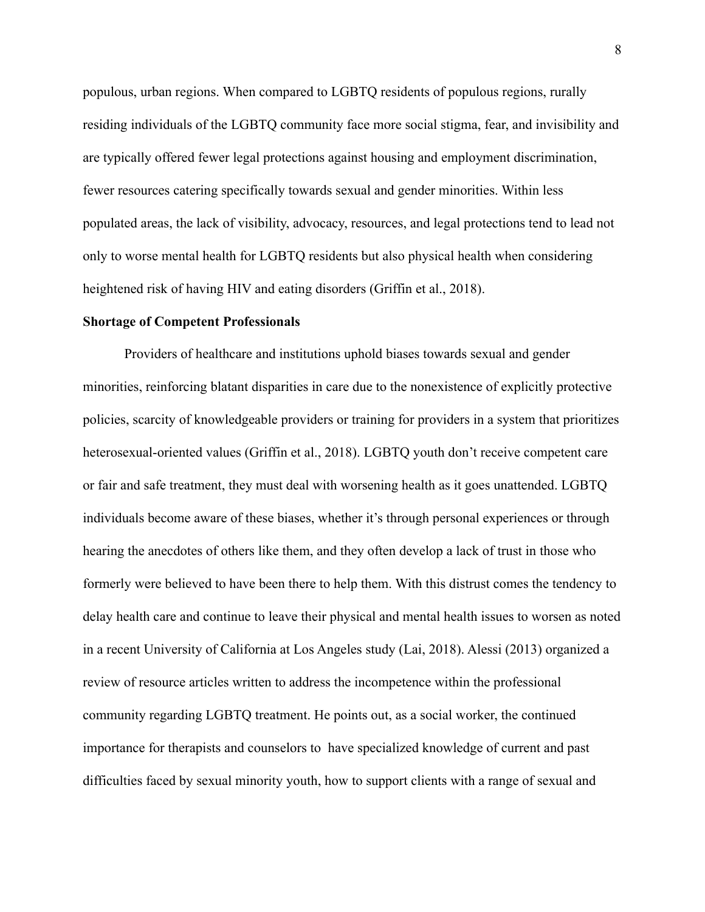populous, urban regions. When compared to LGBTQ residents of populous regions, rurally residing individuals of the LGBTQ community face more social stigma, fear, and invisibility and are typically offered fewer legal protections against housing and employment discrimination, fewer resources catering specifically towards sexual and gender minorities. Within less populated areas, the lack of visibility, advocacy, resources, and legal protections tend to lead not only to worse mental health for LGBTQ residents but also physical health when considering heightened risk of having HIV and eating disorders (Griffin et al., 2018).

#### **Shortage of Competent Professionals**

Providers of healthcare and institutions uphold biases towards sexual and gender minorities, reinforcing blatant disparities in care due to the nonexistence of explicitly protective policies, scarcity of knowledgeable providers or training for providers in a system that prioritizes heterosexual-oriented values (Griffin et al., 2018). LGBTQ youth don't receive competent care or fair and safe treatment, they must deal with worsening health as it goes unattended. LGBTQ individuals become aware of these biases, whether it's through personal experiences or through hearing the anecdotes of others like them, and they often develop a lack of trust in those who formerly were believed to have been there to help them. With this distrust comes the tendency to delay health care and continue to leave their physical and mental health issues to worsen as noted in a recent University of California at Los Angeles study (Lai, 2018). Alessi (2013) organized a review of resource articles written to address the incompetence within the professional community regarding LGBTQ treatment. He points out, as a social worker, the continued importance for therapists and counselors to have specialized knowledge of current and past difficulties faced by sexual minority youth, how to support clients with a range of sexual and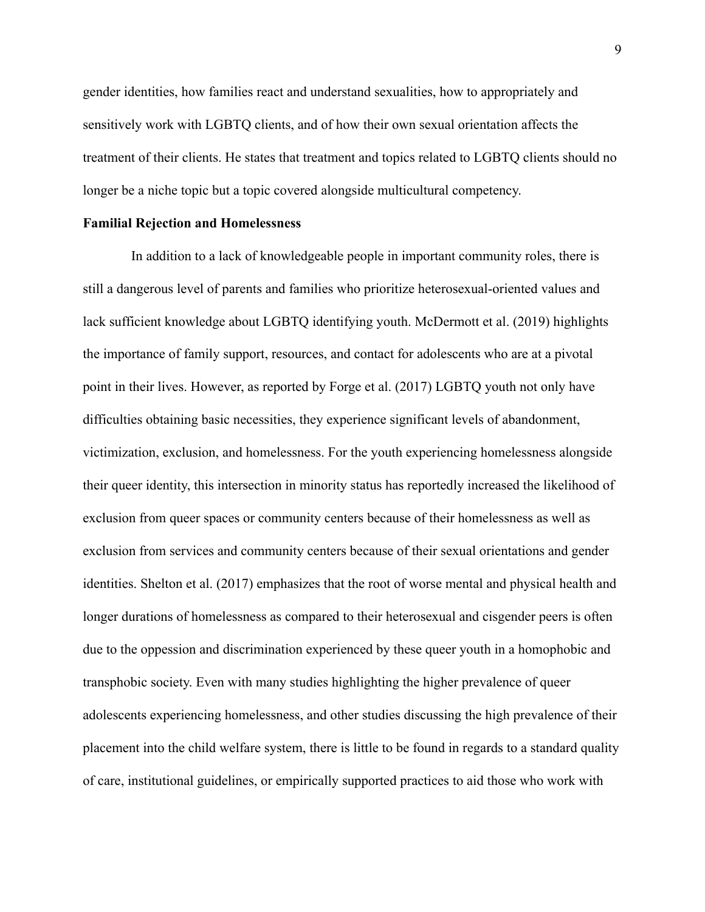gender identities, how families react and understand sexualities, how to appropriately and sensitively work with LGBTQ clients, and of how their own sexual orientation affects the treatment of their clients. He states that treatment and topics related to LGBTQ clients should no longer be a niche topic but a topic covered alongside multicultural competency.

#### **Familial Rejection and Homelessness**

In addition to a lack of knowledgeable people in important community roles, there is still a dangerous level of parents and families who prioritize heterosexual-oriented values and lack sufficient knowledge about LGBTQ identifying youth. McDermott et al. (2019) highlights the importance of family support, resources, and contact for adolescents who are at a pivotal point in their lives. However, as reported by Forge et al. (2017) LGBTQ youth not only have difficulties obtaining basic necessities, they experience significant levels of abandonment, victimization, exclusion, and homelessness. For the youth experiencing homelessness alongside their queer identity, this intersection in minority status has reportedly increased the likelihood of exclusion from queer spaces or community centers because of their homelessness as well as exclusion from services and community centers because of their sexual orientations and gender identities. Shelton et al. (2017) emphasizes that the root of worse mental and physical health and longer durations of homelessness as compared to their heterosexual and cisgender peers is often due to the oppession and discrimination experienced by these queer youth in a homophobic and transphobic society. Even with many studies highlighting the higher prevalence of queer adolescents experiencing homelessness, and other studies discussing the high prevalence of their placement into the child welfare system, there is little to be found in regards to a standard quality of care, institutional guidelines, or empirically supported practices to aid those who work with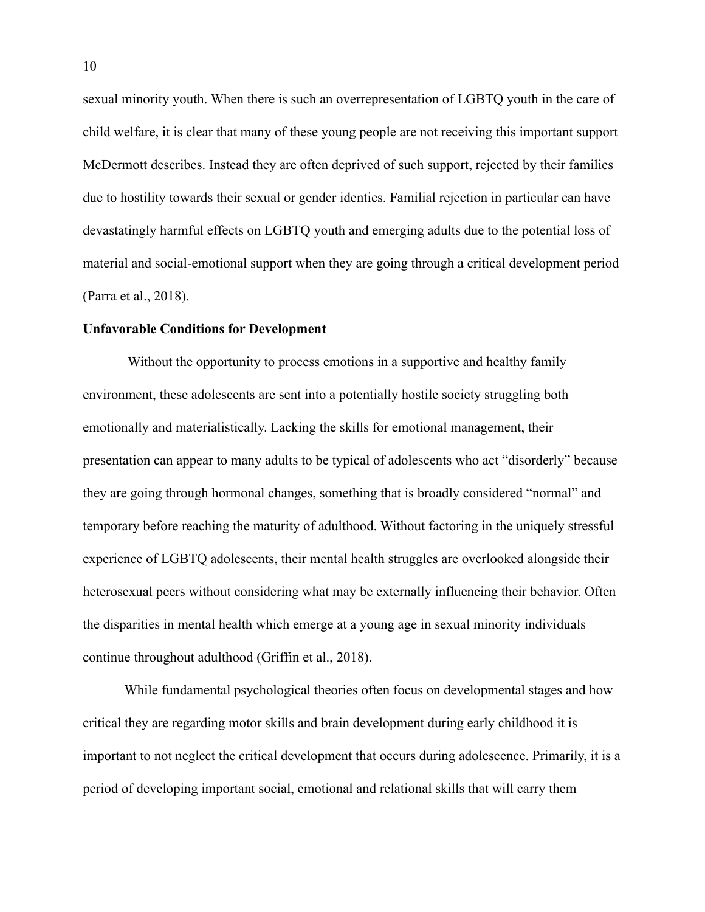sexual minority youth. When there is such an overrepresentation of LGBTQ youth in the care of child welfare, it is clear that many of these young people are not receiving this important support McDermott describes. Instead they are often deprived of such support, rejected by their families due to hostility towards their sexual or gender identies. Familial rejection in particular can have devastatingly harmful effects on LGBTQ youth and emerging adults due to the potential loss of material and social-emotional support when they are going through a critical development period (Parra et al., 2018).

#### **Unfavorable Conditions for Development**

Without the opportunity to process emotions in a supportive and healthy family environment, these adolescents are sent into a potentially hostile society struggling both emotionally and materialistically. Lacking the skills for emotional management, their presentation can appear to many adults to be typical of adolescents who act "disorderly" because they are going through hormonal changes, something that is broadly considered "normal" and temporary before reaching the maturity of adulthood. Without factoring in the uniquely stressful experience of LGBTQ adolescents, their mental health struggles are overlooked alongside their heterosexual peers without considering what may be externally influencing their behavior. Often the disparities in mental health which emerge at a young age in sexual minority individuals continue throughout adulthood (Griffin et al., 2018).

While fundamental psychological theories often focus on developmental stages and how critical they are regarding motor skills and brain development during early childhood it is important to not neglect the critical development that occurs during adolescence. Primarily, it is a period of developing important social, emotional and relational skills that will carry them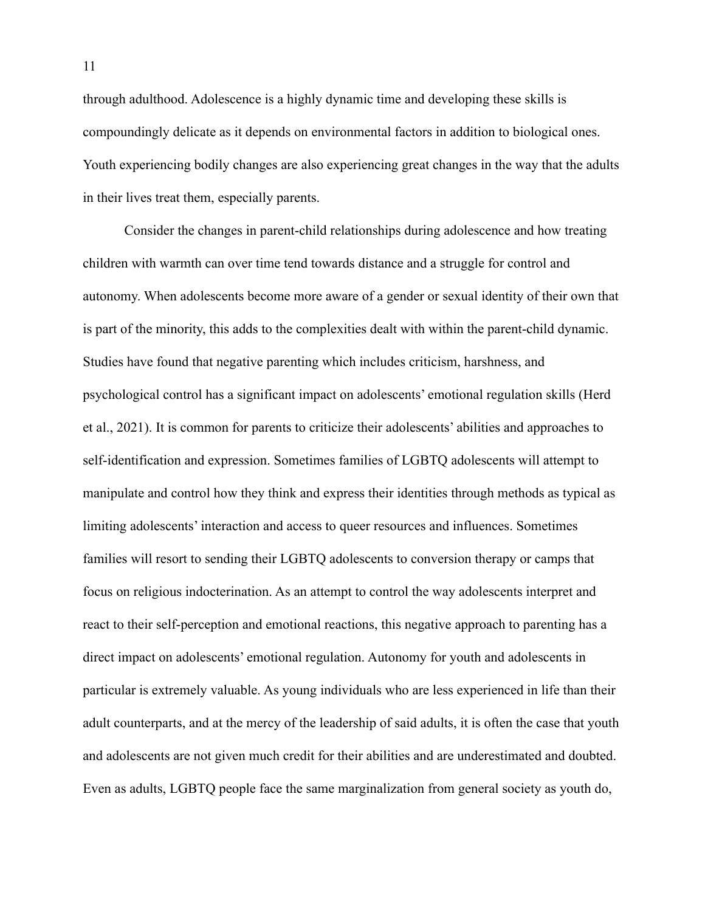through adulthood. Adolescence is a highly dynamic time and developing these skills is compoundingly delicate as it depends on environmental factors in addition to biological ones. Youth experiencing bodily changes are also experiencing great changes in the way that the adults in their lives treat them, especially parents.

Consider the changes in parent-child relationships during adolescence and how treating children with warmth can over time tend towards distance and a struggle for control and autonomy. When adolescents become more aware of a gender or sexual identity of their own that is part of the minority, this adds to the complexities dealt with within the parent-child dynamic. Studies have found that negative parenting which includes criticism, harshness, and psychological control has a significant impact on adolescents' emotional regulation skills (Herd et al., 2021). It is common for parents to criticize their adolescents' abilities and approaches to self-identification and expression. Sometimes families of LGBTQ adolescents will attempt to manipulate and control how they think and express their identities through methods as typical as limiting adolescents' interaction and access to queer resources and influences. Sometimes families will resort to sending their LGBTQ adolescents to conversion therapy or camps that focus on religious indocterination. As an attempt to control the way adolescents interpret and react to their self-perception and emotional reactions, this negative approach to parenting has a direct impact on adolescents' emotional regulation. Autonomy for youth and adolescents in particular is extremely valuable. As young individuals who are less experienced in life than their adult counterparts, and at the mercy of the leadership of said adults, it is often the case that youth and adolescents are not given much credit for their abilities and are underestimated and doubted. Even as adults, LGBTQ people face the same marginalization from general society as youth do,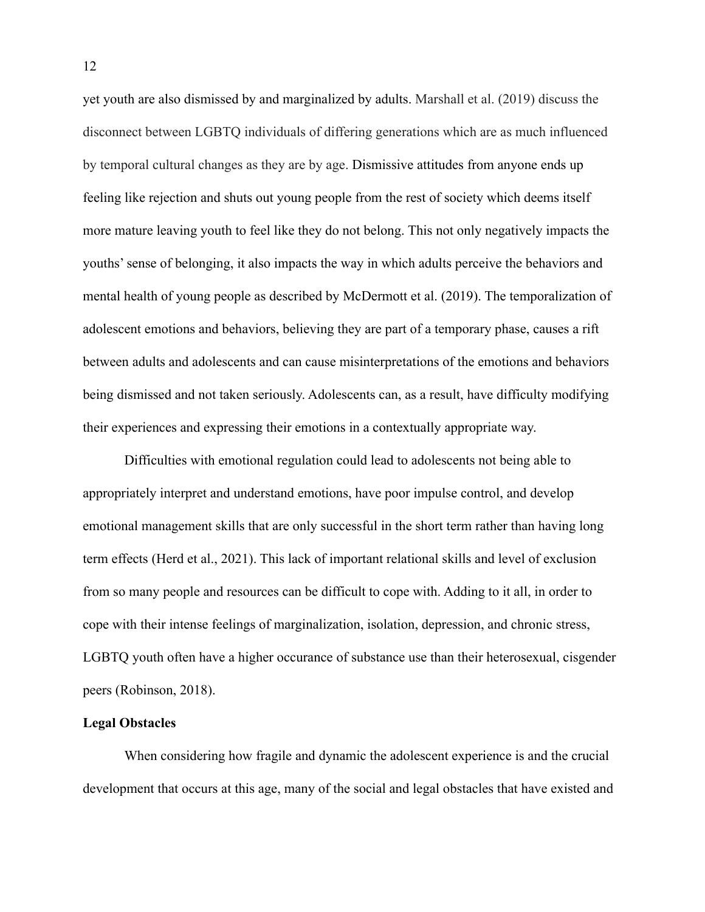yet youth are also dismissed by and marginalized by adults. Marshall et al. (2019) discuss the disconnect between LGBTQ individuals of differing generations which are as much influenced by temporal cultural changes as they are by age. Dismissive attitudes from anyone ends up feeling like rejection and shuts out young people from the rest of society which deems itself more mature leaving youth to feel like they do not belong. This not only negatively impacts the youths' sense of belonging, it also impacts the way in which adults perceive the behaviors and mental health of young people as described by McDermott et al. (2019). The temporalization of adolescent emotions and behaviors, believing they are part of a temporary phase, causes a rift between adults and adolescents and can cause misinterpretations of the emotions and behaviors being dismissed and not taken seriously. Adolescents can, as a result, have difficulty modifying their experiences and expressing their emotions in a contextually appropriate way.

Difficulties with emotional regulation could lead to adolescents not being able to appropriately interpret and understand emotions, have poor impulse control, and develop emotional management skills that are only successful in the short term rather than having long term effects (Herd et al., 2021). This lack of important relational skills and level of exclusion from so many people and resources can be difficult to cope with. Adding to it all, in order to cope with their intense feelings of marginalization, isolation, depression, and chronic stress, LGBTQ youth often have a higher occurance of substance use than their heterosexual, cisgender peers (Robinson, 2018).

#### **Legal Obstacles**

When considering how fragile and dynamic the adolescent experience is and the crucial development that occurs at this age, many of the social and legal obstacles that have existed and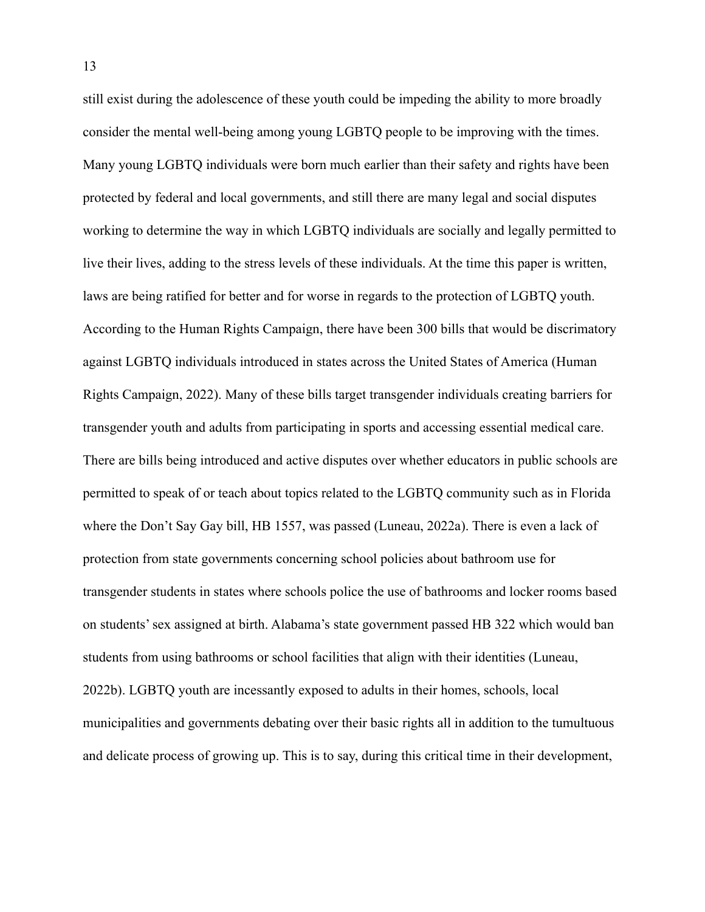still exist during the adolescence of these youth could be impeding the ability to more broadly consider the mental well-being among young LGBTQ people to be improving with the times. Many young LGBTQ individuals were born much earlier than their safety and rights have been protected by federal and local governments, and still there are many legal and social disputes working to determine the way in which LGBTQ individuals are socially and legally permitted to live their lives, adding to the stress levels of these individuals. At the time this paper is written, laws are being ratified for better and for worse in regards to the protection of LGBTQ youth. According to the Human Rights Campaign, there have been 300 bills that would be discrimatory against LGBTQ individuals introduced in states across the United States of America (Human Rights Campaign, 2022). Many of these bills target transgender individuals creating barriers for transgender youth and adults from participating in sports and accessing essential medical care. There are bills being introduced and active disputes over whether educators in public schools are permitted to speak of or teach about topics related to the LGBTQ community such as in Florida where the Don't Say Gay bill, HB 1557, was passed (Luneau, 2022a). There is even a lack of protection from state governments concerning school policies about bathroom use for transgender students in states where schools police the use of bathrooms and locker rooms based on students' sex assigned at birth. Alabama's state government passed HB 322 which would ban students from using bathrooms or school facilities that align with their identities (Luneau, 2022b). LGBTQ youth are incessantly exposed to adults in their homes, schools, local municipalities and governments debating over their basic rights all in addition to the tumultuous and delicate process of growing up. This is to say, during this critical time in their development,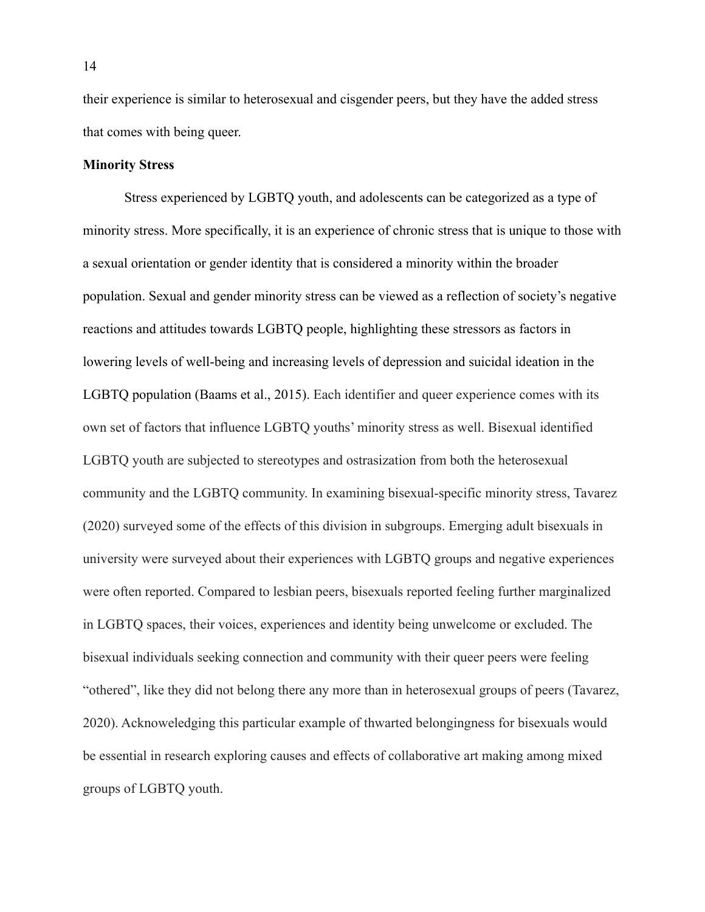their experience is similar to heterosexual and cisgender peers, but they have the added stress that comes with being queer.

#### **Minority Stress**

Stress experienced by LGBTQ youth, and adolescents can be categorized as a type of minority stress. More specifically, it is an experience of chronic stress that is unique to those with a sexual orientation or gender identity that is considered a minority within the broader population. Sexual and gender minority stress can be viewed as a reflection of society's negative reactions and attitudes towards LGBTQ people, highlighting these stressors as factors in lowering levels of well-being and increasing levels of depression and suicidal ideation in the LGBTQ population (Baams et al., 2015). Each identifier and queer experience comes with its own set of factors that influence LGBTQ youths' minority stress as well. Bisexual identified LGBTQ youth are subjected to stereotypes and ostrasization from both the heterosexual community and the LGBTQ community. In examining bisexual-specific minority stress, Tavarez (2020) surveyed some of the effects of this division in subgroups. Emerging adult bisexuals in university were surveyed about their experiences with LGBTQ groups and negative experiences were often reported. Compared to lesbian peers, bisexuals reported feeling further marginalized in LGBTQ spaces, their voices, experiences and identity being unwelcome or excluded. The bisexual individuals seeking connection and community with their queer peers were feeling "othered", like they did not belong there any more than in heterosexual groups of peers (Tavarez, 2020). Acknoweledging this particular example of thwarted belongingness for bisexuals would be essential in research exploring causes and effects of collaborative art making among mixed groups of LGBTQ youth.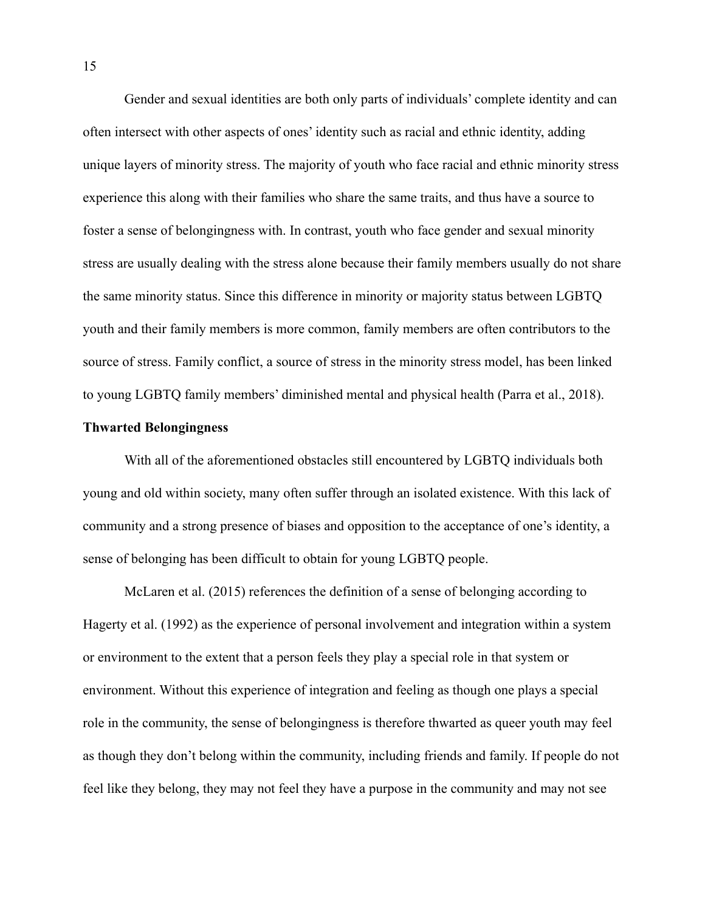Gender and sexual identities are both only parts of individuals' complete identity and can often intersect with other aspects of ones' identity such as racial and ethnic identity, adding unique layers of minority stress. The majority of youth who face racial and ethnic minority stress experience this along with their families who share the same traits, and thus have a source to foster a sense of belongingness with. In contrast, youth who face gender and sexual minority stress are usually dealing with the stress alone because their family members usually do not share the same minority status. Since this difference in minority or majority status between LGBTQ youth and their family members is more common, family members are often contributors to the source of stress. Family conflict, a source of stress in the minority stress model, has been linked to young LGBTQ family members' diminished mental and physical health (Parra et al., 2018).

#### **Thwarted Belongingness**

With all of the aforementioned obstacles still encountered by LGBTQ individuals both young and old within society, many often suffer through an isolated existence. With this lack of community and a strong presence of biases and opposition to the acceptance of one's identity, a sense of belonging has been difficult to obtain for young LGBTQ people.

McLaren et al. (2015) references the definition of a sense of belonging according to Hagerty et al. (1992) as the experience of personal involvement and integration within a system or environment to the extent that a person feels they play a special role in that system or environment. Without this experience of integration and feeling as though one plays a special role in the community, the sense of belongingness is therefore thwarted as queer youth may feel as though they don't belong within the community, including friends and family. If people do not feel like they belong, they may not feel they have a purpose in the community and may not see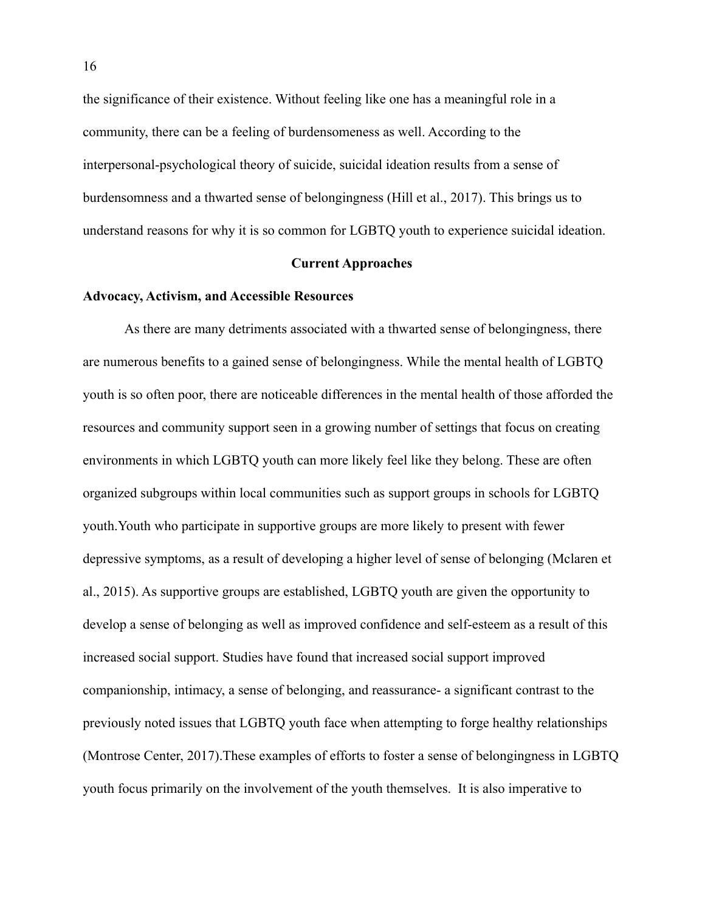the significance of their existence. Without feeling like one has a meaningful role in a community, there can be a feeling of burdensomeness as well. According to the interpersonal-psychological theory of suicide, suicidal ideation results from a sense of burdensomness and a thwarted sense of belongingness (Hill et al., 2017). This brings us to understand reasons for why it is so common for LGBTQ youth to experience suicidal ideation.

#### **Current Approaches**

#### **Advocacy, Activism, and Accessible Resources**

As there are many detriments associated with a thwarted sense of belongingness, there are numerous benefits to a gained sense of belongingness. While the mental health of LGBTQ youth is so often poor, there are noticeable differences in the mental health of those afforded the resources and community support seen in a growing number of settings that focus on creating environments in which LGBTQ youth can more likely feel like they belong. These are often organized subgroups within local communities such as support groups in schools for LGBTQ youth.Youth who participate in supportive groups are more likely to present with fewer depressive symptoms, as a result of developing a higher level of sense of belonging (Mclaren et al., 2015). As supportive groups are established, LGBTQ youth are given the opportunity to develop a sense of belonging as well as improved confidence and self-esteem as a result of this increased social support. Studies have found that increased social support improved companionship, intimacy, a sense of belonging, and reassurance- a significant contrast to the previously noted issues that LGBTQ youth face when attempting to forge healthy relationships (Montrose Center, 2017).These examples of efforts to foster a sense of belongingness in LGBTQ youth focus primarily on the involvement of the youth themselves. It is also imperative to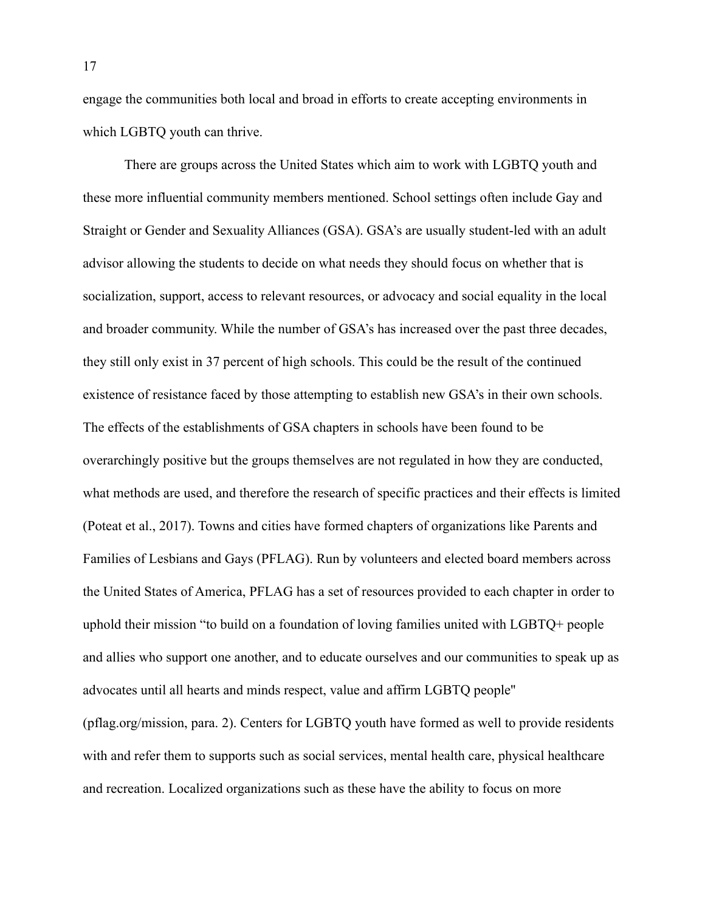engage the communities both local and broad in efforts to create accepting environments in which LGBTQ youth can thrive.

There are groups across the United States which aim to work with LGBTQ youth and these more influential community members mentioned. School settings often include Gay and Straight or Gender and Sexuality Alliances (GSA). GSA's are usually student-led with an adult advisor allowing the students to decide on what needs they should focus on whether that is socialization, support, access to relevant resources, or advocacy and social equality in the local and broader community. While the number of GSA's has increased over the past three decades, they still only exist in 37 percent of high schools. This could be the result of the continued existence of resistance faced by those attempting to establish new GSA's in their own schools. The effects of the establishments of GSA chapters in schools have been found to be overarchingly positive but the groups themselves are not regulated in how they are conducted, what methods are used, and therefore the research of specific practices and their effects is limited (Poteat et al., 2017). Towns and cities have formed chapters of organizations like Parents and Families of Lesbians and Gays (PFLAG). Run by volunteers and elected board members across the United States of America, PFLAG has a set of resources provided to each chapter in order to uphold their mission "to build on a foundation of loving families united with LGBTQ+ people and allies who support one another, and to educate ourselves and our communities to speak up as advocates until all hearts and minds respect, value and affirm LGBTQ people'' (pflag.org/mission, para. 2). Centers for LGBTQ youth have formed as well to provide residents with and refer them to supports such as social services, mental health care, physical healthcare and recreation. Localized organizations such as these have the ability to focus on more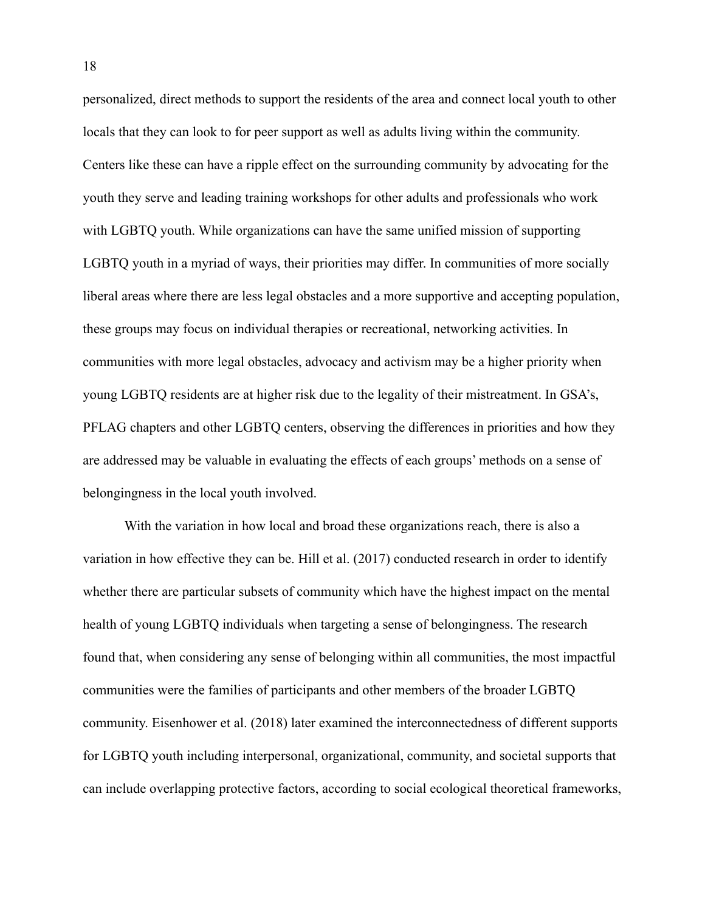personalized, direct methods to support the residents of the area and connect local youth to other locals that they can look to for peer support as well as adults living within the community. Centers like these can have a ripple effect on the surrounding community by advocating for the youth they serve and leading training workshops for other adults and professionals who work with LGBTO youth. While organizations can have the same unified mission of supporting LGBTQ youth in a myriad of ways, their priorities may differ. In communities of more socially liberal areas where there are less legal obstacles and a more supportive and accepting population, these groups may focus on individual therapies or recreational, networking activities. In communities with more legal obstacles, advocacy and activism may be a higher priority when young LGBTQ residents are at higher risk due to the legality of their mistreatment. In GSA's, PFLAG chapters and other LGBTQ centers, observing the differences in priorities and how they are addressed may be valuable in evaluating the effects of each groups' methods on a sense of belongingness in the local youth involved.

With the variation in how local and broad these organizations reach, there is also a variation in how effective they can be. Hill et al. (2017) conducted research in order to identify whether there are particular subsets of community which have the highest impact on the mental health of young LGBTQ individuals when targeting a sense of belongingness. The research found that, when considering any sense of belonging within all communities, the most impactful communities were the families of participants and other members of the broader LGBTQ community. Eisenhower et al. (2018) later examined the interconnectedness of different supports for LGBTQ youth including interpersonal, organizational, community, and societal supports that can include overlapping protective factors, according to social ecological theoretical frameworks,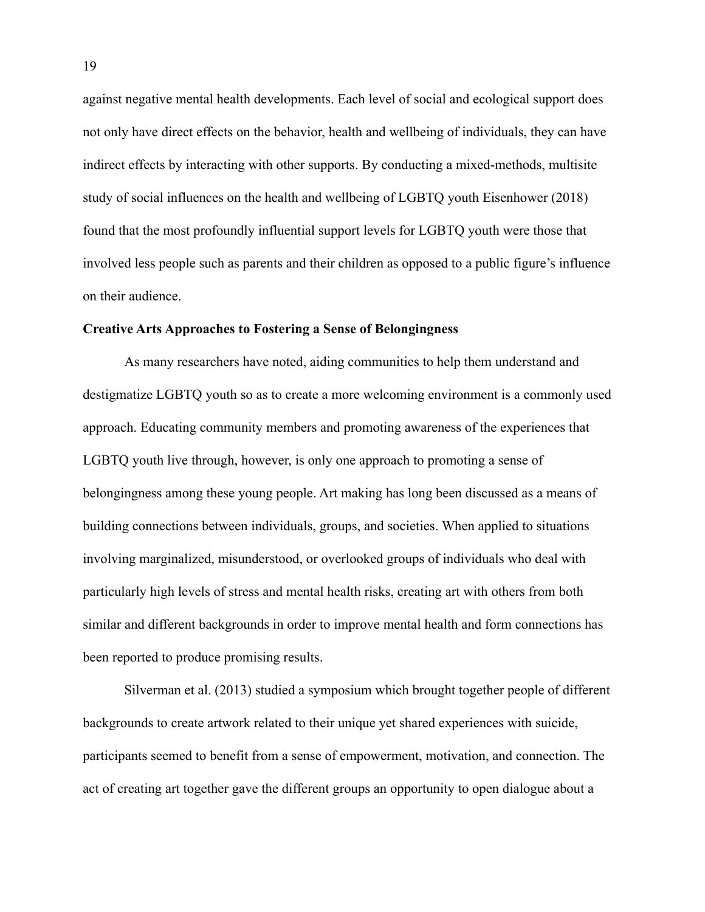against negative mental health developments. Each level of social and ecological support does not only have direct effects on the behavior, health and wellbeing of individuals, they can have indirect effects by interacting with other supports. By conducting a mixed-methods, multisite study of social influences on the health and wellbeing of LGBTQ youth Eisenhower (2018) found that the most profoundly influential support levels for LGBTQ youth were those that involved less people such as parents and their children as opposed to a public figure's influence on their audience.

#### **Creative Arts Approaches to Fostering a Sense of Belongingness**

As many researchers have noted, aiding communities to help them understand and destigmatize LGBTQ youth so as to create a more welcoming environment is a commonly used approach. Educating community members and promoting awareness of the experiences that LGBTQ youth live through, however, is only one approach to promoting a sense of belongingness among these young people. Art making has long been discussed as a means of building connections between individuals, groups, and societies. When applied to situations involving marginalized, misunderstood, or overlooked groups of individuals who deal with particularly high levels of stress and mental health risks, creating art with others from both similar and different backgrounds in order to improve mental health and form connections has been reported to produce promising results.

Silverman et al. (2013) studied a symposium which brought together people of different backgrounds to create artwork related to their unique yet shared experiences with suicide, participants seemed to benefit from a sense of empowerment, motivation, and connection. The act of creating art together gave the different groups an opportunity to open dialogue about a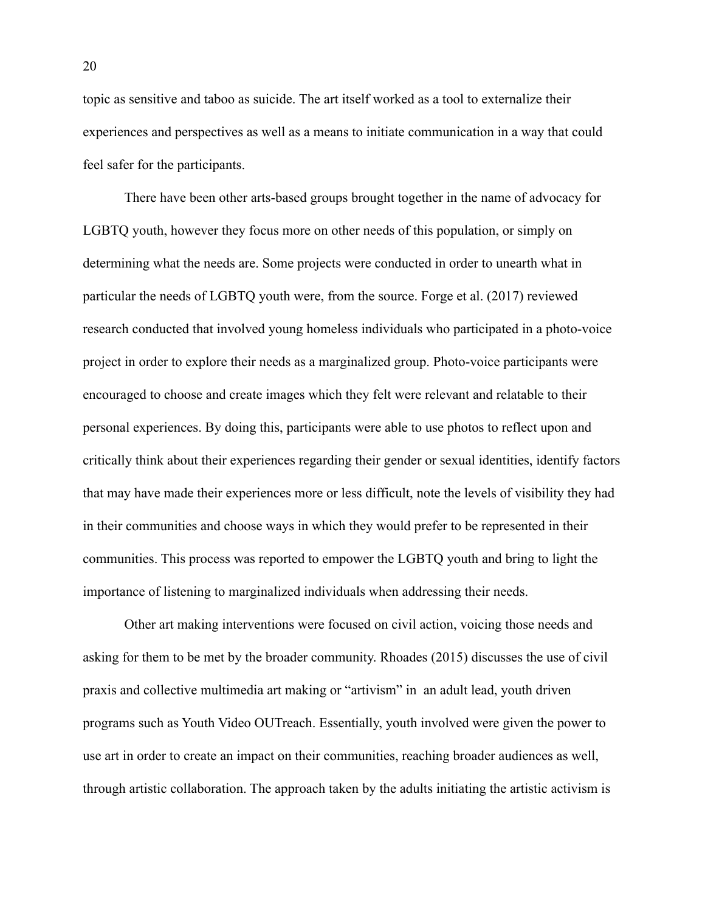topic as sensitive and taboo as suicide. The art itself worked as a tool to externalize their experiences and perspectives as well as a means to initiate communication in a way that could feel safer for the participants.

There have been other arts-based groups brought together in the name of advocacy for LGBTQ youth, however they focus more on other needs of this population, or simply on determining what the needs are. Some projects were conducted in order to unearth what in particular the needs of LGBTQ youth were, from the source. Forge et al. (2017) reviewed research conducted that involved young homeless individuals who participated in a photo-voice project in order to explore their needs as a marginalized group. Photo-voice participants were encouraged to choose and create images which they felt were relevant and relatable to their personal experiences. By doing this, participants were able to use photos to reflect upon and critically think about their experiences regarding their gender or sexual identities, identify factors that may have made their experiences more or less difficult, note the levels of visibility they had in their communities and choose ways in which they would prefer to be represented in their communities. This process was reported to empower the LGBTQ youth and bring to light the importance of listening to marginalized individuals when addressing their needs.

Other art making interventions were focused on civil action, voicing those needs and asking for them to be met by the broader community. Rhoades (2015) discusses the use of civil praxis and collective multimedia art making or "artivism" in an adult lead, youth driven programs such as Youth Video OUTreach. Essentially, youth involved were given the power to use art in order to create an impact on their communities, reaching broader audiences as well, through artistic collaboration. The approach taken by the adults initiating the artistic activism is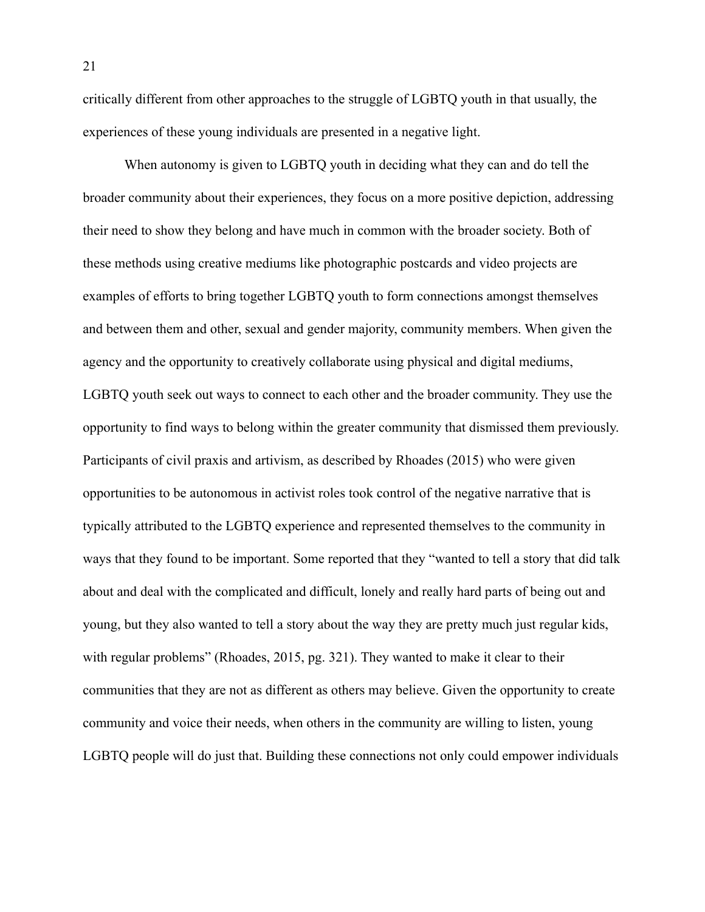critically different from other approaches to the struggle of LGBTQ youth in that usually, the experiences of these young individuals are presented in a negative light.

When autonomy is given to LGBTQ youth in deciding what they can and do tell the broader community about their experiences, they focus on a more positive depiction, addressing their need to show they belong and have much in common with the broader society. Both of these methods using creative mediums like photographic postcards and video projects are examples of efforts to bring together LGBTQ youth to form connections amongst themselves and between them and other, sexual and gender majority, community members. When given the agency and the opportunity to creatively collaborate using physical and digital mediums, LGBTQ youth seek out ways to connect to each other and the broader community. They use the opportunity to find ways to belong within the greater community that dismissed them previously. Participants of civil praxis and artivism, as described by Rhoades (2015) who were given opportunities to be autonomous in activist roles took control of the negative narrative that is typically attributed to the LGBTQ experience and represented themselves to the community in ways that they found to be important. Some reported that they "wanted to tell a story that did talk about and deal with the complicated and difficult, lonely and really hard parts of being out and young, but they also wanted to tell a story about the way they are pretty much just regular kids, with regular problems" (Rhoades, 2015, pg. 321). They wanted to make it clear to their communities that they are not as different as others may believe. Given the opportunity to create community and voice their needs, when others in the community are willing to listen, young LGBTQ people will do just that. Building these connections not only could empower individuals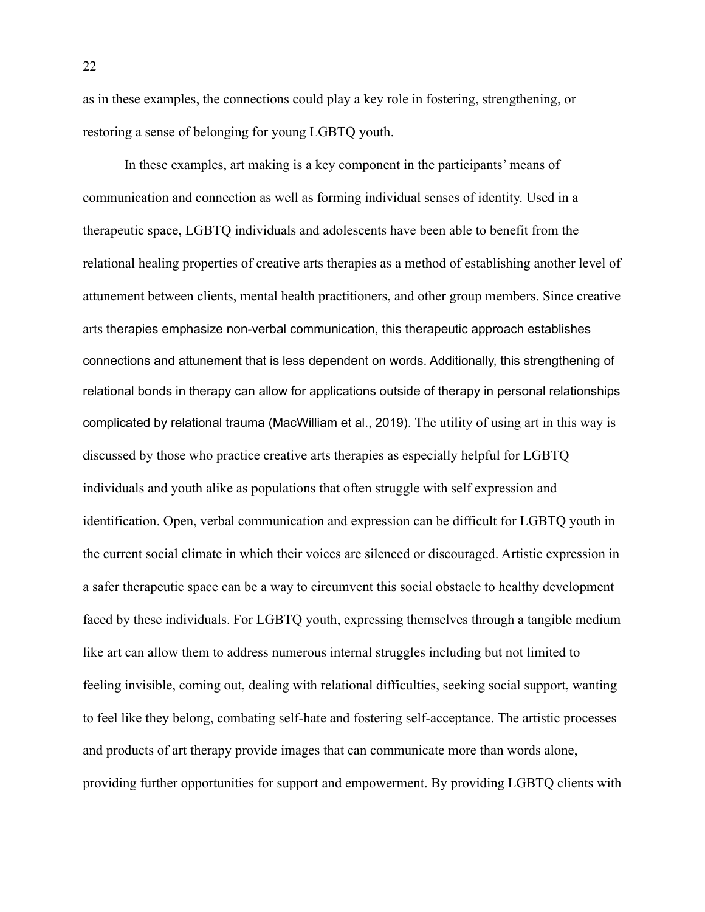as in these examples, the connections could play a key role in fostering, strengthening, or restoring a sense of belonging for young LGBTQ youth.

In these examples, art making is a key component in the participants' means of communication and connection as well as forming individual senses of identity. Used in a therapeutic space, LGBTQ individuals and adolescents have been able to benefit from the relational healing properties of creative arts therapies as a method of establishing another level of attunement between clients, mental health practitioners, and other group members. Since creative arts therapies emphasize non-verbal communication, this therapeutic approach establishes connections and attunement that is less dependent on words. Additionally, this strengthening of relational bonds in therapy can allow for applications outside of therapy in personal relationships complicated by relational trauma (MacWilliam et al., 2019). The utility of using art in this way is discussed by those who practice creative arts therapies as especially helpful for LGBTQ individuals and youth alike as populations that often struggle with self expression and identification. Open, verbal communication and expression can be difficult for LGBTQ youth in the current social climate in which their voices are silenced or discouraged. Artistic expression in a safer therapeutic space can be a way to circumvent this social obstacle to healthy development faced by these individuals. For LGBTQ youth, expressing themselves through a tangible medium like art can allow them to address numerous internal struggles including but not limited to feeling invisible, coming out, dealing with relational difficulties, seeking social support, wanting to feel like they belong, combating self-hate and fostering self-acceptance. The artistic processes and products of art therapy provide images that can communicate more than words alone, providing further opportunities for support and empowerment. By providing LGBTQ clients with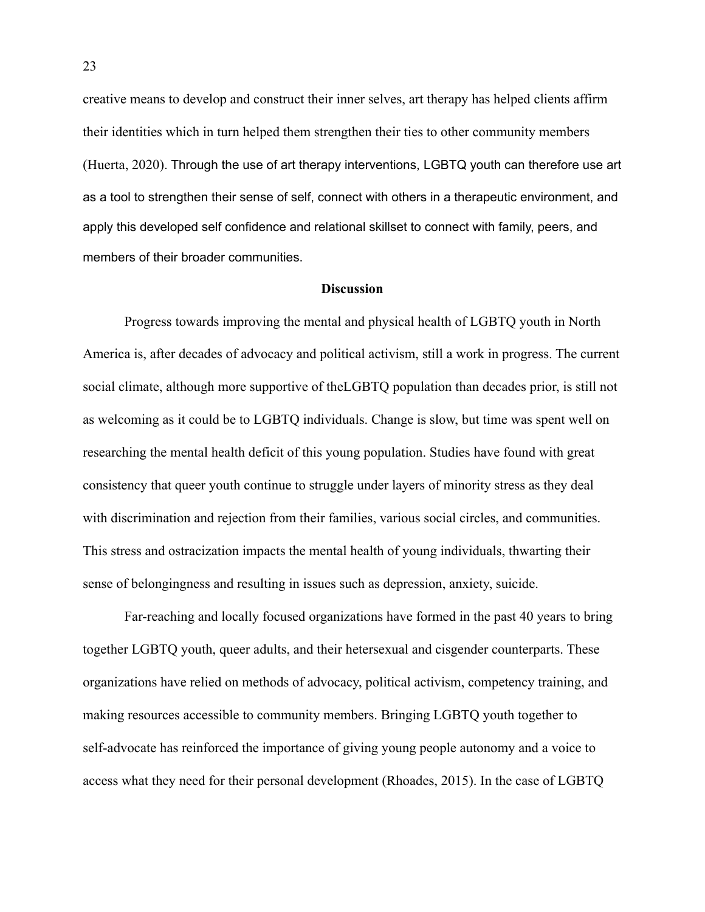creative means to develop and construct their inner selves, art therapy has helped clients affirm their identities which in turn helped them strengthen their ties to other community members (Huerta, 2020). Through the use of art therapy interventions, LGBTQ youth can therefore use art as a tool to strengthen their sense of self, connect with others in a therapeutic environment, and apply this developed self confidence and relational skillset to connect with family, peers, and members of their broader communities.

#### **Discussion**

Progress towards improving the mental and physical health of LGBTQ youth in North America is, after decades of advocacy and political activism, still a work in progress. The current social climate, although more supportive of theLGBTQ population than decades prior, is still not as welcoming as it could be to LGBTQ individuals. Change is slow, but time was spent well on researching the mental health deficit of this young population. Studies have found with great consistency that queer youth continue to struggle under layers of minority stress as they deal with discrimination and rejection from their families, various social circles, and communities. This stress and ostracization impacts the mental health of young individuals, thwarting their sense of belongingness and resulting in issues such as depression, anxiety, suicide.

Far-reaching and locally focused organizations have formed in the past 40 years to bring together LGBTQ youth, queer adults, and their hetersexual and cisgender counterparts. These organizations have relied on methods of advocacy, political activism, competency training, and making resources accessible to community members. Bringing LGBTQ youth together to self-advocate has reinforced the importance of giving young people autonomy and a voice to access what they need for their personal development (Rhoades, 2015). In the case of LGBTQ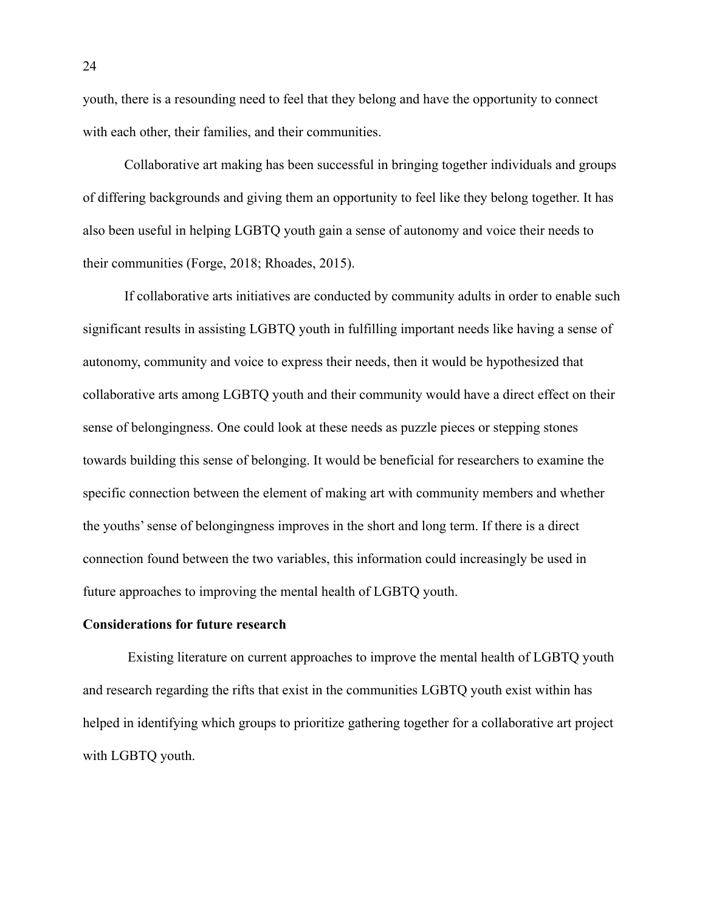youth, there is a resounding need to feel that they belong and have the opportunity to connect with each other, their families, and their communities.

Collaborative art making has been successful in bringing together individuals and groups of differing backgrounds and giving them an opportunity to feel like they belong together. It has also been useful in helping LGBTQ youth gain a sense of autonomy and voice their needs to their communities (Forge, 2018; Rhoades, 2015).

If collaborative arts initiatives are conducted by community adults in order to enable such significant results in assisting LGBTQ youth in fulfilling important needs like having a sense of autonomy, community and voice to express their needs, then it would be hypothesized that collaborative arts among LGBTQ youth and their community would have a direct effect on their sense of belongingness. One could look at these needs as puzzle pieces or stepping stones towards building this sense of belonging. It would be beneficial for researchers to examine the specific connection between the element of making art with community members and whether the youths' sense of belongingness improves in the short and long term. If there is a direct connection found between the two variables, this information could increasingly be used in future approaches to improving the mental health of LGBTQ youth.

#### **Considerations for future research**

Existing literature on current approaches to improve the mental health of LGBTQ youth and research regarding the rifts that exist in the communities LGBTQ youth exist within has helped in identifying which groups to prioritize gathering together for a collaborative art project with LGBTQ youth.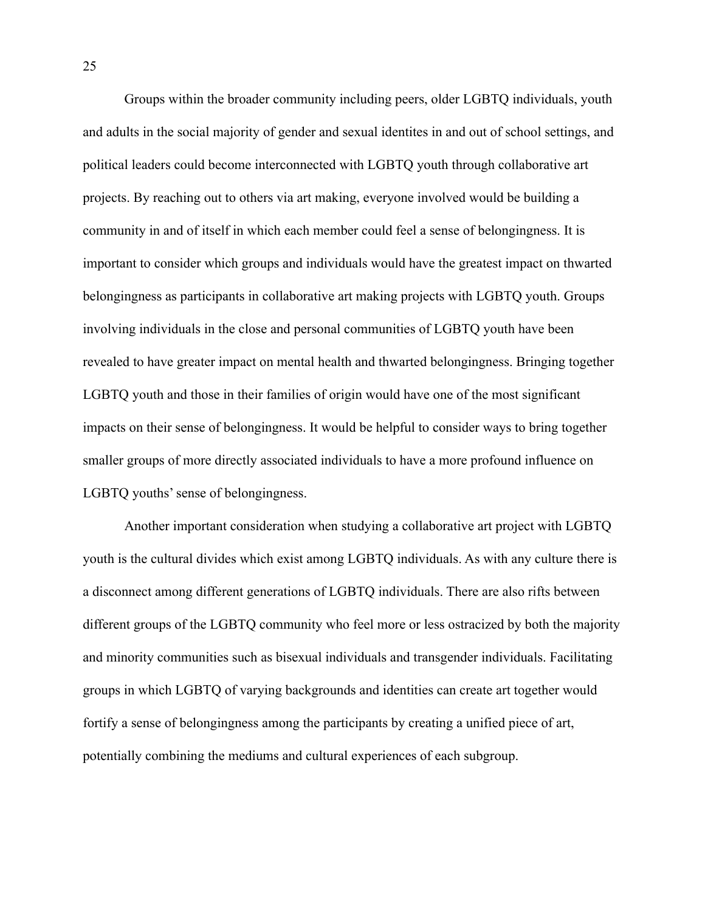Groups within the broader community including peers, older LGBTQ individuals, youth and adults in the social majority of gender and sexual identites in and out of school settings, and political leaders could become interconnected with LGBTQ youth through collaborative art projects. By reaching out to others via art making, everyone involved would be building a community in and of itself in which each member could feel a sense of belongingness. It is important to consider which groups and individuals would have the greatest impact on thwarted belongingness as participants in collaborative art making projects with LGBTQ youth. Groups involving individuals in the close and personal communities of LGBTQ youth have been revealed to have greater impact on mental health and thwarted belongingness. Bringing together LGBTQ youth and those in their families of origin would have one of the most significant impacts on their sense of belongingness. It would be helpful to consider ways to bring together smaller groups of more directly associated individuals to have a more profound influence on LGBTQ youths' sense of belongingness.

Another important consideration when studying a collaborative art project with LGBTQ youth is the cultural divides which exist among LGBTQ individuals. As with any culture there is a disconnect among different generations of LGBTQ individuals. There are also rifts between different groups of the LGBTQ community who feel more or less ostracized by both the majority and minority communities such as bisexual individuals and transgender individuals. Facilitating groups in which LGBTQ of varying backgrounds and identities can create art together would fortify a sense of belongingness among the participants by creating a unified piece of art, potentially combining the mediums and cultural experiences of each subgroup.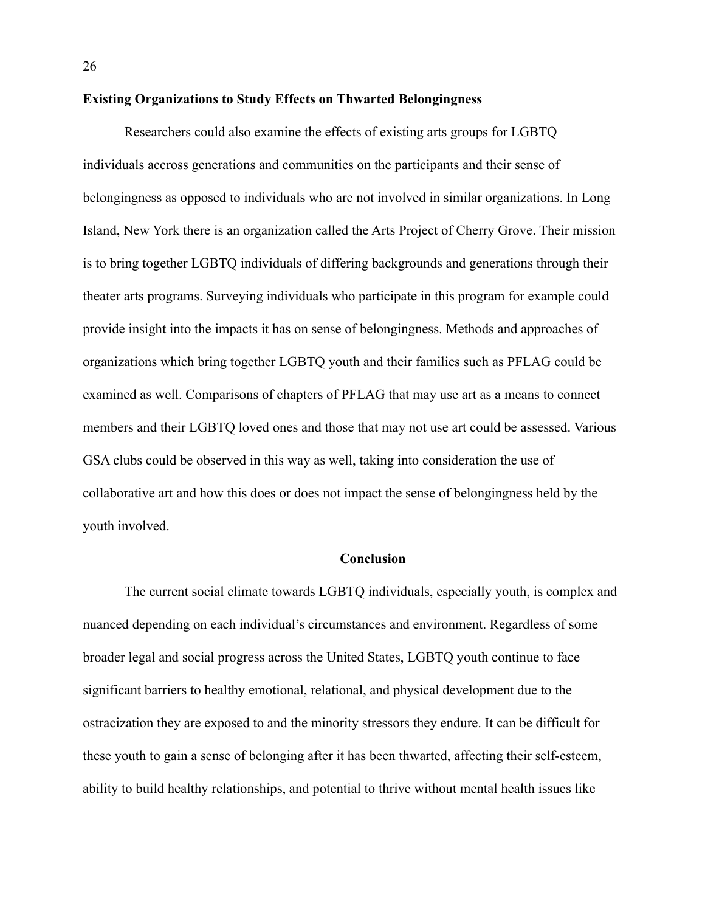#### **Existing Organizations to Study Effects on Thwarted Belongingness**

Researchers could also examine the effects of existing arts groups for LGBTQ individuals accross generations and communities on the participants and their sense of belongingness as opposed to individuals who are not involved in similar organizations. In Long Island, New York there is an organization called the Arts Project of Cherry Grove. Their mission is to bring together LGBTQ individuals of differing backgrounds and generations through their theater arts programs. Surveying individuals who participate in this program for example could provide insight into the impacts it has on sense of belongingness. Methods and approaches of organizations which bring together LGBTQ youth and their families such as PFLAG could be examined as well. Comparisons of chapters of PFLAG that may use art as a means to connect members and their LGBTQ loved ones and those that may not use art could be assessed. Various GSA clubs could be observed in this way as well, taking into consideration the use of collaborative art and how this does or does not impact the sense of belongingness held by the youth involved.

#### **Conclusion**

The current social climate towards LGBTQ individuals, especially youth, is complex and nuanced depending on each individual's circumstances and environment. Regardless of some broader legal and social progress across the United States, LGBTQ youth continue to face significant barriers to healthy emotional, relational, and physical development due to the ostracization they are exposed to and the minority stressors they endure. It can be difficult for these youth to gain a sense of belonging after it has been thwarted, affecting their self-esteem, ability to build healthy relationships, and potential to thrive without mental health issues like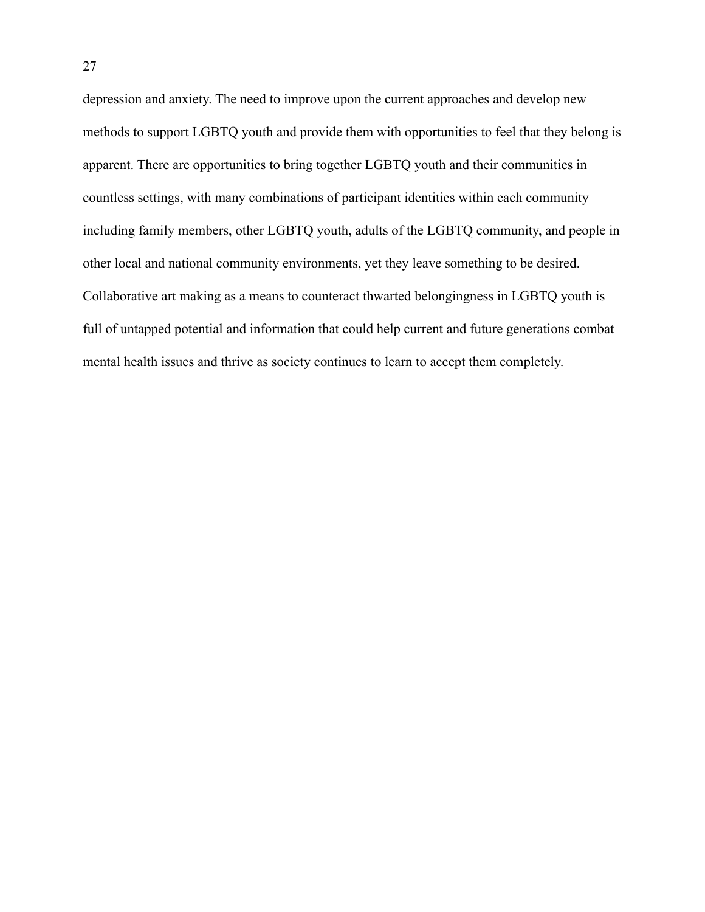depression and anxiety. The need to improve upon the current approaches and develop new methods to support LGBTQ youth and provide them with opportunities to feel that they belong is apparent. There are opportunities to bring together LGBTQ youth and their communities in countless settings, with many combinations of participant identities within each community including family members, other LGBTQ youth, adults of the LGBTQ community, and people in other local and national community environments, yet they leave something to be desired. Collaborative art making as a means to counteract thwarted belongingness in LGBTQ youth is full of untapped potential and information that could help current and future generations combat mental health issues and thrive as society continues to learn to accept them completely.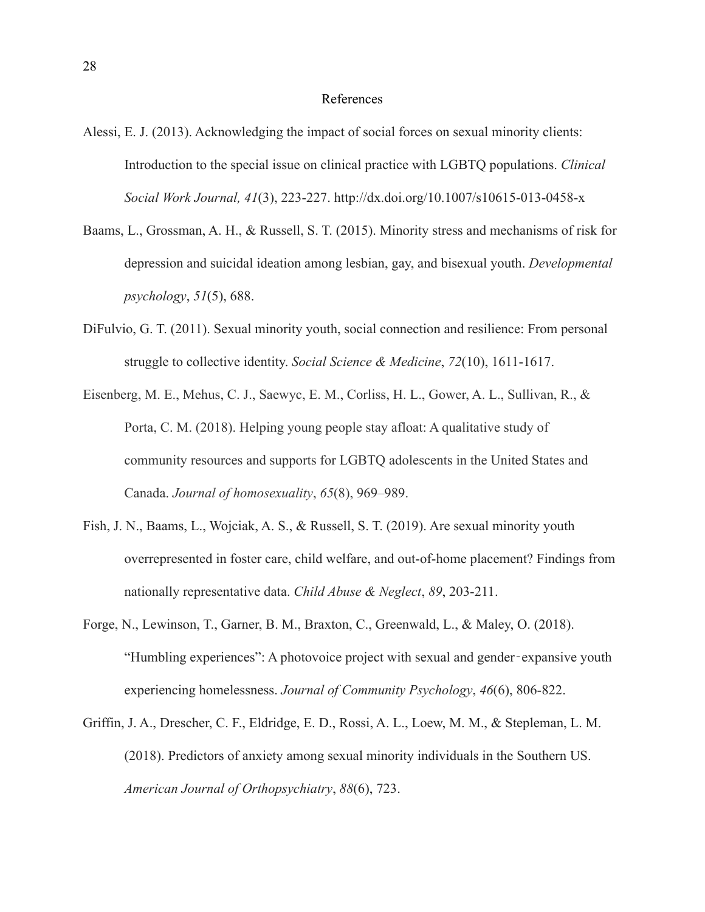#### References

- Alessi, E. J. (2013). Acknowledging the impact of social forces on sexual minority clients: Introduction to the special issue on clinical practice with LGBTQ populations. *Clinical Social Work Journal, 41*(3), 223-227. http://dx.doi.org/10.1007/s10615-013-0458-x
- Baams, L., Grossman, A. H., & Russell, S. T. (2015). Minority stress and mechanisms of risk for depression and suicidal ideation among lesbian, gay, and bisexual youth. *Developmental psychology*, *51*(5), 688.
- DiFulvio, G. T. (2011). Sexual minority youth, social connection and resilience: From personal struggle to collective identity. *Social Science & Medicine*, *72*(10), 1611-1617.
- Eisenberg, M. E., Mehus, C. J., Saewyc, E. M., Corliss, H. L., Gower, A. L., Sullivan, R., & Porta, C. M. (2018). Helping young people stay afloat: A qualitative study of community resources and supports for LGBTQ adolescents in the United States and Canada. *Journal of homosexuality*, *65*(8), 969–989.
- Fish, J. N., Baams, L., Wojciak, A. S., & Russell, S. T. (2019). Are sexual minority youth overrepresented in foster care, child welfare, and out-of-home placement? Findings from nationally representative data. *Child Abuse & Neglect*, *89*, 203-211.
- Forge, N., Lewinson, T., Garner, B. M., Braxton, C., Greenwald, L., & Maley, O. (2018). "Humbling experiences": A photovoice project with sexual and gender‐expansive youth experiencing homelessness. *Journal of Community Psychology*, *46*(6), 806-822.
- Griffin, J. A., Drescher, C. F., Eldridge, E. D., Rossi, A. L., Loew, M. M., & Stepleman, L. M. (2018). Predictors of anxiety among sexual minority individuals in the Southern US. *American Journal of Orthopsychiatry*, *88*(6), 723.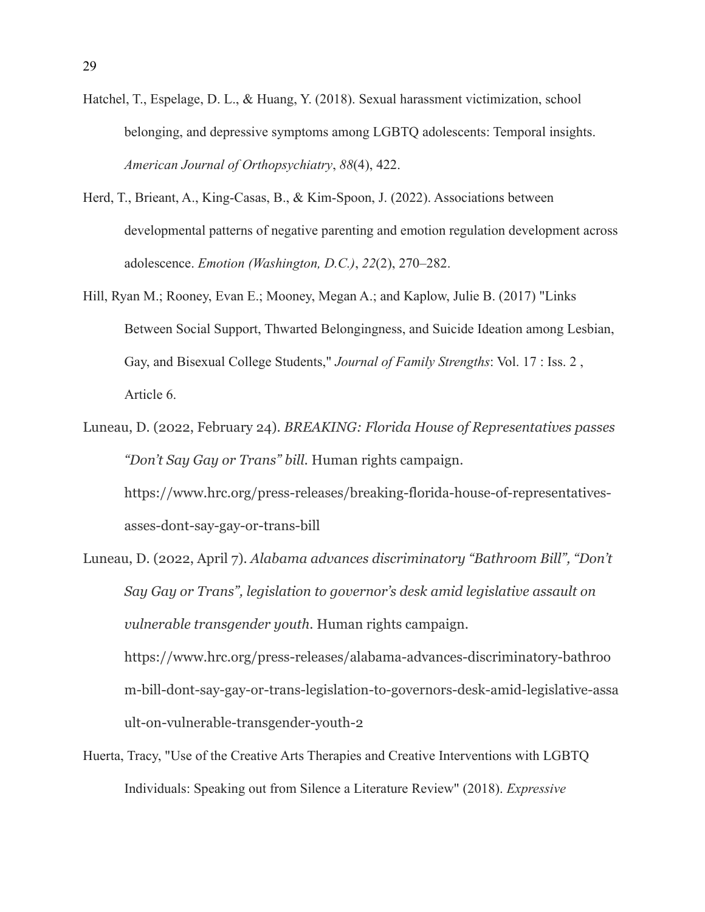- Hatchel, T., Espelage, D. L., & Huang, Y. (2018). Sexual harassment victimization, school belonging, and depressive symptoms among LGBTQ adolescents: Temporal insights. *American Journal of Orthopsychiatry*, *88*(4), 422.
- Herd, T., Brieant, A., King-Casas, B., & Kim-Spoon, J. (2022). Associations between developmental patterns of negative parenting and emotion regulation development across adolescence. *Emotion (Washington, D.C.)*, *22*(2), 270–282.
- Hill, Ryan M.; Rooney, Evan E.; Mooney, Megan A.; and Kaplow, Julie B. (2017) "Links Between Social Support, Thwarted Belongingness, and Suicide Ideation among Lesbian, Gay, and Bisexual College Students," *Journal of Family Strengths*: Vol. 17 : Iss. 2 , Article 6.
- Luneau, D. (2022, February 24). *BREAKING: Florida House of Representatives passes "Don't Say Gay or Trans" bill.* Human rights campaign. https://www.hrc.org/press-releases/breaking-florida-house-of-representativesasses-dont-say-gay-or-trans-bill
- Luneau, D. (2022, April 7). *Alabama advances discriminatory "Bathroom Bill", "Don't Say Gay or Trans", legislation to governor's desk amid legislative assault on vulnerable transgender youth*. Human rights campaign. https://www.hrc.org/press-releases/alabama-advances-discriminatory-bathroo m-bill-dont-say-gay-or-trans-legislation-to-governors-desk-amid-legislative-assa ult-on-vulnerable-transgender-youth-2
- Huerta, Tracy, "Use of the Creative Arts Therapies and Creative Interventions with LGBTQ Individuals: Speaking out from Silence a Literature Review" (2018). *Expressive*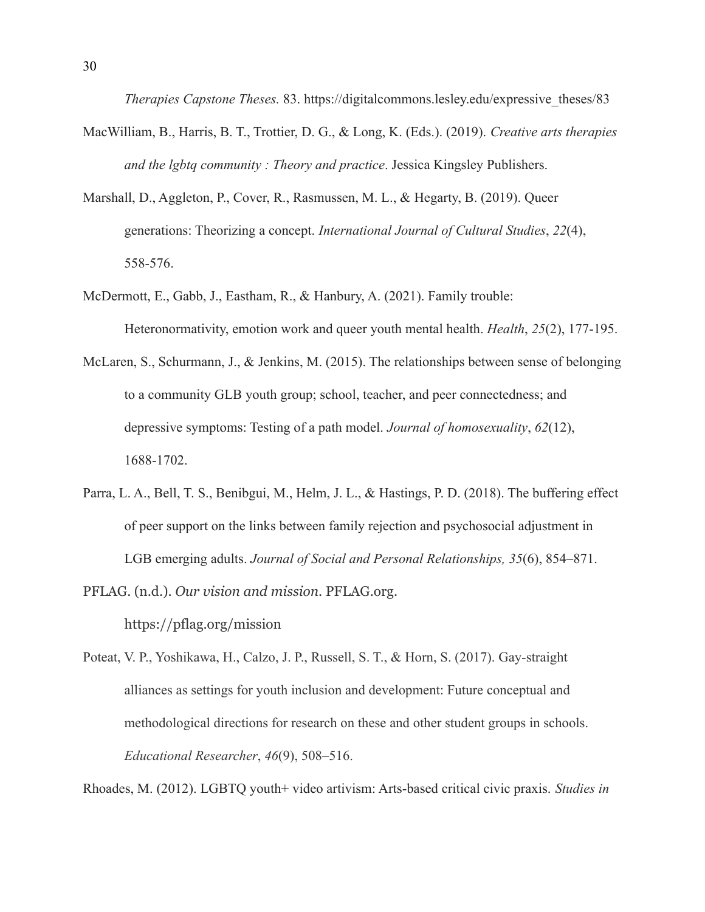*Therapies Capstone Theses.* 83. https://digitalcommons.lesley.edu/expressive theses/83

- MacWilliam, B., Harris, B. T., Trottier, D. G., & Long, K. (Eds.). (2019). *Creative arts therapies and the lgbtq community : Theory and practice*. Jessica Kingsley Publishers.
- Marshall, D., Aggleton, P., Cover, R., Rasmussen, M. L., & Hegarty, B. (2019). Queer generations: Theorizing a concept. *International Journal of Cultural Studies*, *22*(4), 558-576.
- McDermott, E., Gabb, J., Eastham, R., & Hanbury, A. (2021). Family trouble: Heteronormativity, emotion work and queer youth mental health. *Health*, *25*(2), 177-195.
- McLaren, S., Schurmann, J., & Jenkins, M. (2015). The relationships between sense of belonging to a community GLB youth group; school, teacher, and peer connectedness; and depressive symptoms: Testing of a path model. *Journal of homosexuality*, *62*(12), 1688-1702.
- Parra, L. A., Bell, T. S., Benibgui, M., Helm, J. L., & Hastings, P. D. (2018). The buffering effect of peer support on the links between family rejection and psychosocial adjustment in LGB emerging adults. *Journal of Social and Personal Relationships, 35*(6), 854–871.
- PFLAG. (n.d.). *Our vision and mission*. PFLAG.org. https://pflag.org/mission
- Poteat, V. P., Yoshikawa, H., Calzo, J. P., Russell, S. T., & Horn, S. (2017). Gay-straight alliances as settings for youth inclusion and development: Future conceptual and methodological directions for research on these and other student groups in schools. *Educational Researcher*, *46*(9), 508–516.

Rhoades, M. (2012). LGBTQ youth+ video artivism: Arts-based critical civic praxis. *Studies in*